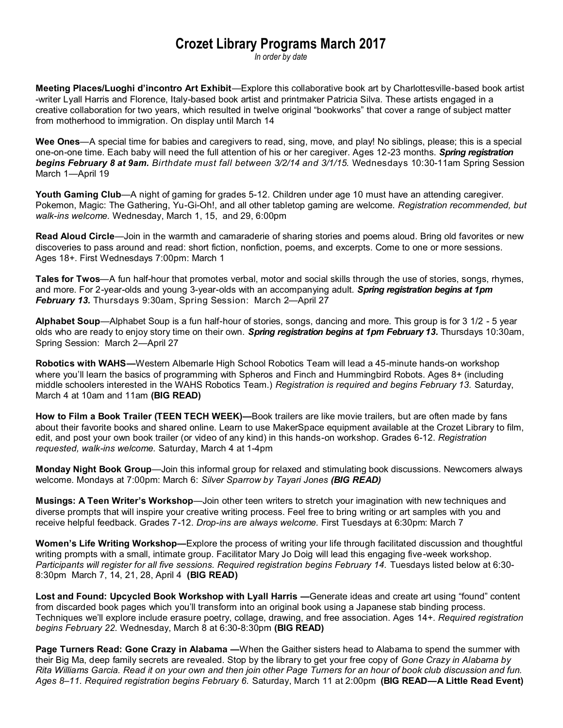## **Crozet Library Programs March 2017**

*In order by date*

**Meeting Places/Luoghi d'incontro Art Exhibit**—Explore this collaborative book art by Charlottesville-based book artist -writer Lyall Harris and Florence, Italy-based book artist and printmaker Patricia Silva. These artists engaged in a creative collaboration for two years, which resulted in twelve original "bookworks" that cover a range of subject matter from motherhood to immigration. On display until March 14

**Wee Ones**—A special time for babies and caregivers to read, sing, move, and play! No siblings, please; this is a special one-on-one time. Each baby will need the full attention of his or her caregiver. Ages 12-23 months. *Spring registration begins February 8 at 9am. Birthdate must fall between 3/2/14 and 3/1/15.* Wednesdays 10:30-11am Spring Session March 1—April 19

**Youth Gaming Club**—A night of gaming for grades 5-12. Children under age 10 must have an attending caregiver. Pokemon, Magic: The Gathering, Yu-Gi-Oh!, and all other tabletop gaming are welcome. *Registration recommended, but walk-ins welcome.* Wednesday, March 1, 15, and 29, 6:00pm

**Read Aloud Circle**—Join in the warmth and camaraderie of sharing stories and poems aloud. Bring old favorites or new discoveries to pass around and read: short fiction, nonfiction, poems, and excerpts. Come to one or more sessions. Ages 18+. First Wednesdays 7:00pm: March 1

**Tales for Twos**—A fun half-hour that promotes verbal, motor and social skills through the use of stories, songs, rhymes, and more. For 2-year-olds and young 3-year-olds with an accompanying adult. *Spring registration begins at 1pm February 13.* Thursdays 9:30am, Spring Session: March 2—April 27

**Alphabet Soup**—Alphabet Soup is a fun half-hour of stories, songs, dancing and more. This group is for 3 1/2 - 5 year olds who are ready to enjoy story time on their own. *Spring registration begins at 1pm February 13.* Thursdays 10:30am, Spring Session: March 2—April 27

**Robotics with WAHS—**Western Albemarle High School Robotics Team will lead a 45-minute hands-on workshop where you'll learn the basics of programming with Spheros and Finch and Hummingbird Robots. Ages 8+ (including middle schoolers interested in the WAHS Robotics Team.) *Registration is required and begins February 13.* Saturday, March 4 at 10am and 11am **(BIG READ)**

**How to Film a Book Trailer (TEEN TECH WEEK)—**Book trailers are like movie trailers, but are often made by fans about their favorite books and shared online. Learn to use MakerSpace equipment available at the Crozet Library to film, edit, and post your own book trailer (or video of any kind) in this hands-on workshop. Grades 6-12. *Registration requested, walk-ins welcome.* Saturday, March 4 at 1-4pm

**Monday Night Book Group**—Join this informal group for relaxed and stimulating book discussions. Newcomers always welcome. Mondays at 7:00pm: March 6: *Silver Sparrow by Tayari Jones (BIG READ)*

**Musings: A Teen Writer's Workshop**—Join other teen writers to stretch your imagination with new techniques and diverse prompts that will inspire your creative writing process. Feel free to bring writing or art samples with you and receive helpful feedback. Grades 7-12. *Drop-ins are always welcome.* First Tuesdays at 6:30pm: March 7

**Women's Life Writing Workshop—**Explore the process of writing your life through facilitated discussion and thoughtful writing prompts with a small, intimate group. Facilitator Mary Jo Doig will lead this engaging five-week workshop. *Participants will register for all five sessions. Required registration begins February 14.* Tuesdays listed below at 6:30- 8:30pm March 7, 14, 21, 28, April 4 **(BIG READ)**

**Lost and Found: Upcycled Book Workshop with Lyall Harris —**Generate ideas and create art using "found" content from discarded book pages which you'll transform into an original book using a Japanese stab binding process. Techniques we'll explore include erasure poetry, collage, drawing, and free association. Ages 14+. *Required registration begins February 22.* Wednesday, March 8 at 6:30-8:30pm **(BIG READ)**

**Page Turners Read: Gone Crazy in Alabama —**When the Gaither sisters head to Alabama to spend the summer with their Big Ma, deep family secrets are revealed. Stop by the library to get your free copy of *Gone Crazy in Alabama by Rita Williams Garcia. Read it on your own and then join other Page Turners for an hour of book club discussion and fun. Ages 8–11. Required registration begins February 6.* Saturday, March 11 at 2:00pm **(BIG READ—A Little Read Event)**